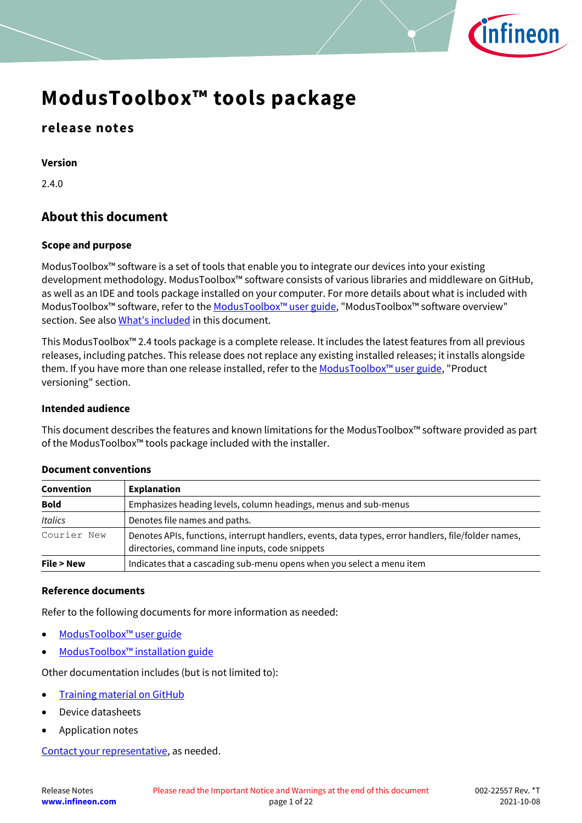

### **release notes**

**Version**

2.4.0

#### **About this document**

#### **Scope and purpose**

ModusToolbox™ software is a set of tools that enable you to integrate our devices into your existing development methodology. ModusToolbox™ software consists of various libraries and middleware on GitHub, as well as an IDE and tools package installed on your computer. For more details about what is included with ModusToolbox™ software, refer to the [ModusToolbox™ u](http://www.cypress.com/ModusToolboxUserGuide)ser guide, "ModusToolbox™ software overview" section. See also [What's included](#page-5-0) in this document.

This ModusToolbox™ 2.4 tools package is a complete release. It includes the latest features from all previous releases, including patches. This release does not replace any existing installed releases; it installs alongside them. If you have more than one release installed, refer to the ModusToolbox<sup>™</sup> user guide, "Product versioning" section.

#### **Intended audience**

This document describes the features and known limitations for the ModusToolbox™ software provided as part of the ModusToolbox™ tools package included with the installer.

| Convention                                                                                                                                                            | <b>Explanation</b>                                                    |  |
|-----------------------------------------------------------------------------------------------------------------------------------------------------------------------|-----------------------------------------------------------------------|--|
| <b>Bold</b>                                                                                                                                                           | Emphasizes heading levels, column headings, menus and sub-menus       |  |
| <b>Italics</b>                                                                                                                                                        | Denotes file names and paths.                                         |  |
| Courier New<br>Denotes APIs, functions, interrupt handlers, events, data types, error handlers, file/folder names,<br>directories, command line inputs, code snippets |                                                                       |  |
| File > New                                                                                                                                                            | Indicates that a cascading sub-menu opens when you select a menu item |  |

#### **Document conventions**

#### **Reference documents**

Refer to the following documents for more information as needed:

- [ModusToolbox™ user guide](http://www.cypress.com/ModusToolboxUserGuide)
- ModusToolbox™ [installation guide](http://www.cypress.com/ModusToolboxInstallGuide)

Other documentation includes (but is not limited to):

- [Training material on GitHub](https://github.com/Infineon/training-modustoolbox)
- Device datasheets
- Application notes

[Contact your representative,](http://www.cypress.com/about-us/sales-offices) as needed.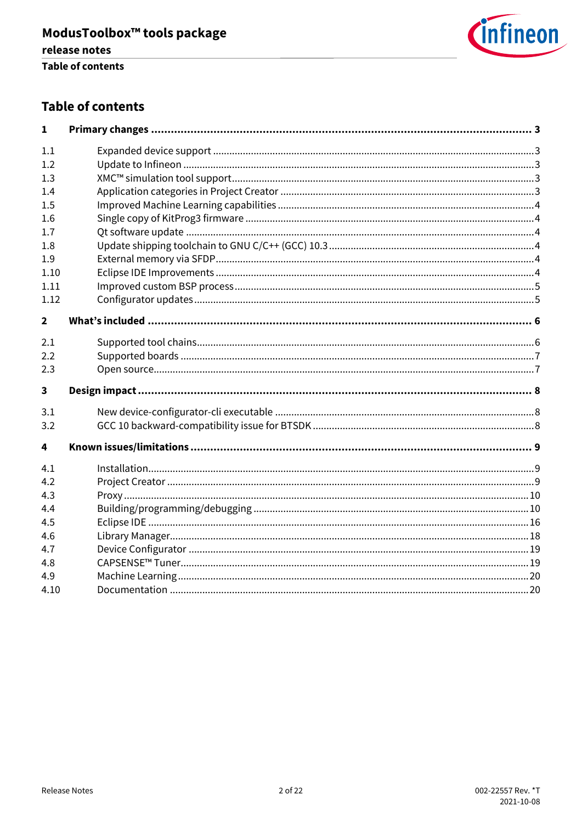

#### **Table of contents**

| 1                       |  |
|-------------------------|--|
| 1.1                     |  |
| 1.2                     |  |
| 1.3                     |  |
| 1.4                     |  |
| 1.5                     |  |
| 1.6                     |  |
| 1.7                     |  |
| 1.8                     |  |
| 1.9                     |  |
| 1.10                    |  |
| 1.11                    |  |
| 1.12                    |  |
| $\overline{2}$          |  |
| 2.1                     |  |
| 2.2                     |  |
| 2.3                     |  |
| $\overline{\mathbf{3}}$ |  |
| 3.1                     |  |
| 3.2                     |  |
| 4                       |  |
| 4.1                     |  |
| 4.2                     |  |
| 4.3                     |  |
| 4.4                     |  |
| 4.5                     |  |
| 4.6                     |  |
| 4.7                     |  |
| 4.8                     |  |
| 4.9                     |  |
| 4.10                    |  |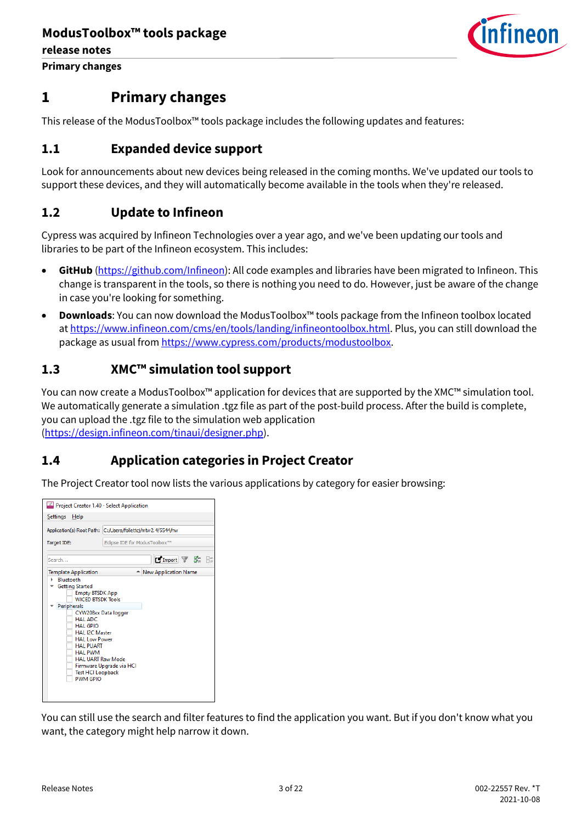

**Primary changes**

### <span id="page-2-0"></span>**1 Primary changes**

This release of the ModusToolbox™ tools package includes the following updates and features:

#### <span id="page-2-1"></span>**1.1 Expanded device support**

Look for announcements about new devices being released in the coming months. We've updated our tools to support these devices, and they will automatically become available in the tools when they're released.

#### <span id="page-2-2"></span>**1.2 Update to Infineon**

Cypress was acquired by Infineon Technologies over a year ago, and we've been updating our tools and libraries to be part of the Infineon ecosystem. This includes:

- **GitHub** [\(https://github.com/Infineon\)](https://github.com/Infineon): All code examples and libraries have been migrated to Infineon. This change is transparent in the tools, so there is nothing you need to do. However, just be aware of the change in case you're looking for something.
- **Downloads**: You can now download the ModusToolbox™ tools package from the Infineon toolbox located at [https://www.infineon.com/cms/en/tools/landing/infineontoolbox.html.](https://www.infineon.com/cms/en/tools/landing/infineontoolbox.html) Plus, you can still download the package as usual fro[m https://www.cypress.com/products/modustoolbox.](https://www.cypress.com/products/modustoolbox)

#### <span id="page-2-3"></span>**1.3 XMC™ simulation tool support**

You can now create a ModusToolbox™ application for devices that are supported by the XMC™ simulation tool. We automatically generate a simulation .tgz file as part of the post-build process. After the build is complete, you can upload the .tgz file to the simulation web application [\(https://design.infineon.com/tinaui/designer.php\)](https://design.infineon.com/tinaui/designer.php).

#### <span id="page-2-4"></span>**1.4 Application categories in Project Creator**

The Project Creator tool now lists the various applications by category for easier browsing:

| Project Creator 1.40 - Select Application                                                                                                                                                                                                                                                                                                  |                               |  |  |  |
|--------------------------------------------------------------------------------------------------------------------------------------------------------------------------------------------------------------------------------------------------------------------------------------------------------------------------------------------|-------------------------------|--|--|--|
| Settings<br>Help                                                                                                                                                                                                                                                                                                                           |                               |  |  |  |
| Application(s) Root Path: C:/Users/follettcj/mtw2.4/5544/hw                                                                                                                                                                                                                                                                                |                               |  |  |  |
| Target IDE:                                                                                                                                                                                                                                                                                                                                | Eclipse IDE for ModusToolbox™ |  |  |  |
| Search                                                                                                                                                                                                                                                                                                                                     | <b>MImport 了 家 日</b>          |  |  |  |
| <b>Template Application</b><br>- New Application Name<br><b>Bluetooth</b><br><b>Getting Started</b><br><b>Empty BTSDK App</b><br><b>WICED BTSDK Tools</b><br>Peripherals<br>CYW208xx Data logger<br>HAI ADC<br>HAI GPIO<br><b>HAL I2C Master</b><br><b>HAL Low Power</b><br><b>HAL PUART</b><br><b>HAL PWM</b><br><b>HAL UART Raw Mode</b> |                               |  |  |  |
| <b>Test HCI Loopback</b><br><b>PWM GPIO</b>                                                                                                                                                                                                                                                                                                | Firmware Upgrade via HCI      |  |  |  |

You can still use the search and filter features to find the application you want. But if you don't know what you want, the category might help narrow it down.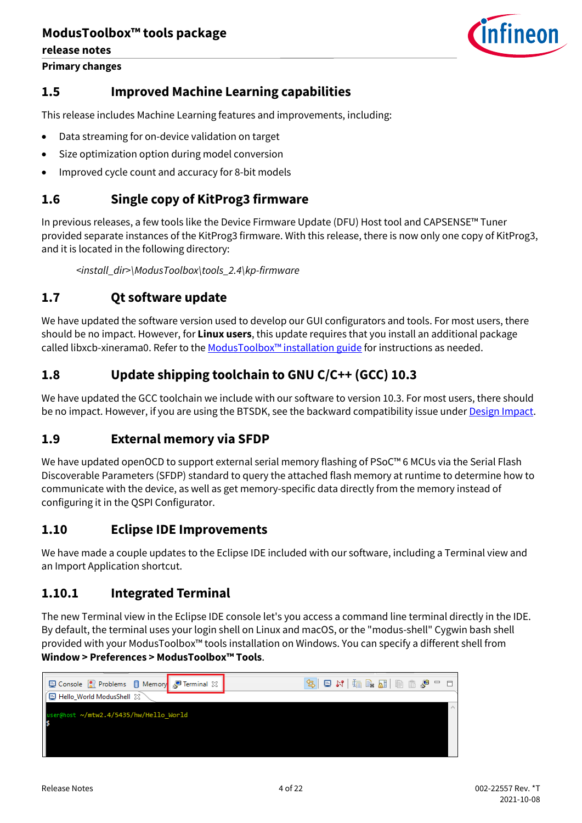**release notes**

**Primary changes**



#### <span id="page-3-0"></span>**1.5 Improved Machine Learning capabilities**

This release includes Machine Learning features and improvements, including:

- Data streaming for on-device validation on target
- Size optimization option during model conversion
- Improved cycle count and accuracy for 8-bit models

#### <span id="page-3-1"></span>**1.6 Single copy of KitProg3 firmware**

In previous releases, a few tools like the Device Firmware Update (DFU) Host tool and CAPSENSE™ Tuner provided separate instances of the KitProg3 firmware. With this release, there is now only one copy of KitProg3, and it is located in the following directory:

*<install\_dir>\ModusToolbox\tools\_2.4\kp-firmware*

#### <span id="page-3-2"></span>**1.7 Qt software update**

We have updated the software version used to develop our GUI configurators and tools. For most users, there should be no impact. However, for **Linux users**, this update requires that you install an additional package called libxcb-xinerama0. Refer to the [ModusToolbox™ installation guide](http://www.cypress.com/ModusToolboxInstallGuide) for instructions as needed.

#### <span id="page-3-3"></span>**1.8 Update shipping toolchain to GNU C/C++ (GCC) 10.3**

We have updated the GCC toolchain we include with our software to version 10.3. For most users, there should be no impact. However, if you are using the BTSDK, see the backward compatibility issue under [Design Impact.](#page-7-0)

#### <span id="page-3-4"></span>**1.9 External memory via SFDP**

We have updated openOCD to support external serial memory flashing of PSoC™ 6 MCUs via the Serial Flash Discoverable Parameters (SFDP) standard to query the attached flash memory at runtime to determine how to communicate with the device, as well as get memory-specific data directly from the memory instead of configuring it in the QSPI Configurator.

#### <span id="page-3-5"></span>**1.10 Eclipse IDE Improvements**

We have made a couple updates to the Eclipse IDE included with our software, including a Terminal view and an Import Application shortcut.

#### **1.10.1 Integrated Terminal**

The new Terminal view in the Eclipse IDE console let's you access a command line terminal directly in the IDE. By default, the terminal uses your login shell on Linux and macOS, or the "modus-shell" Cygwin bash shell provided with your ModusToolbox™ tools installation on Windows. You can specify a different shell from **Window > Preferences > ModusToolbox™ Tools**.

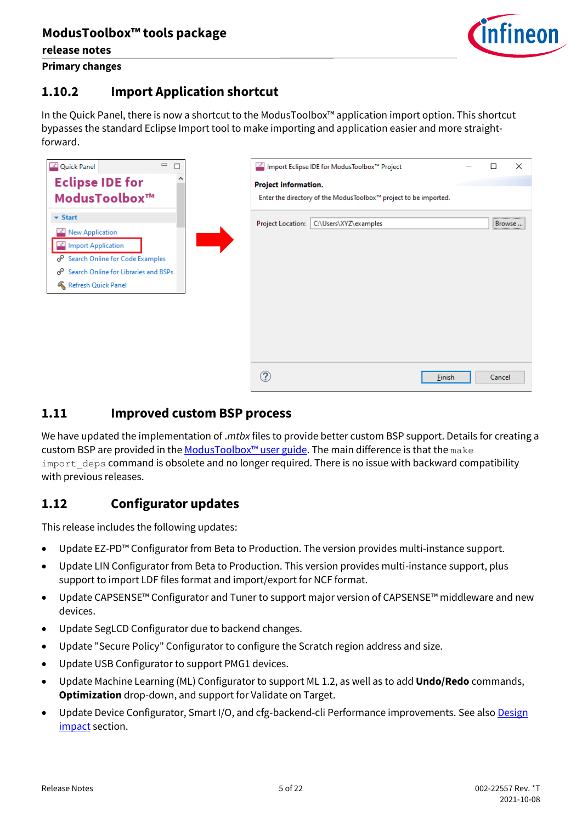

**release notes Primary changes**

### **1.10.2 Import Application shortcut**

In the Quick Panel, there is now a shortcut to the ModusToolbox™ application import option. This shortcut bypasses the standard Eclipse Import tool to make importing and application easier and more straightforward.

| $\qquad \qquad \Box$<br><b>X</b> Quick Panel<br>$\Box$                                                                                                                             | <sup>12</sup> Import Eclipse IDE for ModusToolbox™ Project<br>$\times$                          |
|------------------------------------------------------------------------------------------------------------------------------------------------------------------------------------|-------------------------------------------------------------------------------------------------|
| <b>Eclipse IDE for</b><br>ModusToolbox <sup>™</sup>                                                                                                                                | <b>Project information.</b><br>Enter the directory of the ModusToolbox™ project to be imported. |
| $\blacktriangleright$ Start<br><b>New Application</b><br>Import Application<br>Search Online for Code Examples<br>Search Online for Libraries and BSPs<br>ℰ<br>Refresh Quick Panel | C:\Users\XYZ\examples<br><b>Project Location:</b><br>Browse                                     |
|                                                                                                                                                                                    | ?<br>Cancel<br>Einish                                                                           |

#### <span id="page-4-0"></span>**1.11 Improved custom BSP process**

We have updated the implementation of .*mtbx* files to provide better custom BSP support. Details for creating a custom BSP are provided in the ModusToolbox<sup>™</sup> user guide. The main difference is that the make import deps command is obsolete and no longer required. There is no issue with backward compatibility with previous releases.

#### <span id="page-4-1"></span>**1.12 Configurator updates**

This release includes the following updates:

- Update EZ-PD™ Configurator from Beta to Production. The version provides multi-instance support.
- Update LIN Configurator from Beta to Production. This version provides multi-instance support, plus support to import LDF files format and import/export for NCF format.
- Update CAPSENSE™ Configurator and Tuner to support major version of CAPSENSE™ middleware and new devices.
- Update SegLCD Configurator due to backend changes.
- Update "Secure Policy" Configurator to configure the Scratch region address and size.
- Update USB Configurator to support PMG1 devices.
- Update Machine Learning (ML) Configurator to support ML 1.2, as well as to add **Undo/Redo** commands, **Optimization** drop-down, and support for Validate on Target.
- Update Device Configurator, Smart I/O, and cfg-backend-cli Performance improvements. See als[o Design](#page-7-0) [impact](#page-7-0) section.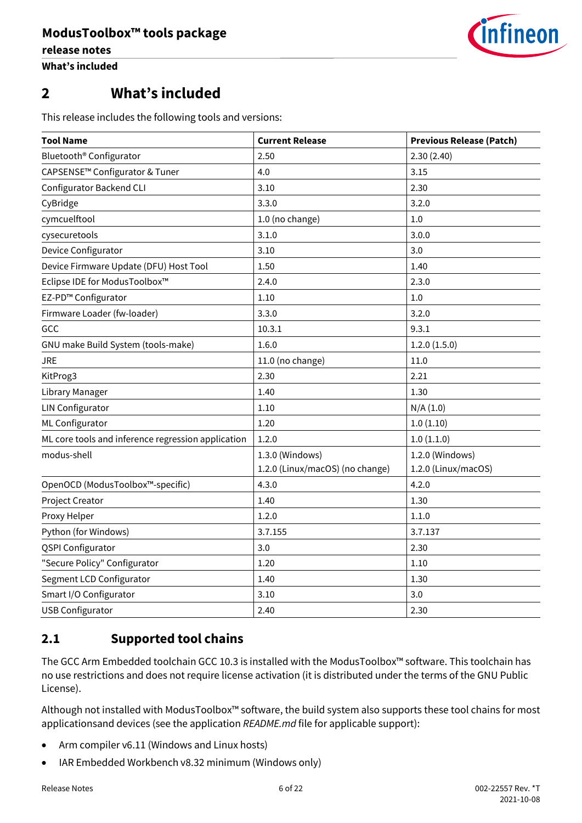

### <span id="page-5-0"></span>**2 What's included**

This release includes the following tools and versions:

| <b>Tool Name</b>                                   | <b>Current Release</b>          | <b>Previous Release (Patch)</b> |
|----------------------------------------------------|---------------------------------|---------------------------------|
| Bluetooth <sup>®</sup> Configurator                | 2.50                            | 2.30(2.40)                      |
| CAPSENSE <sup>™</sup> Configurator & Tuner         | 4.0                             | 3.15                            |
| <b>Configurator Backend CLI</b>                    | 3.10                            | 2.30                            |
| CyBridge                                           | 3.3.0                           | 3.2.0                           |
| cymcuelftool                                       | 1.0 (no change)                 | 1.0                             |
| cysecuretools                                      | 3.1.0                           | 3.0.0                           |
| Device Configurator                                | 3.10                            | 3.0                             |
| Device Firmware Update (DFU) Host Tool             | 1.50                            | 1.40                            |
| Eclipse IDE for ModusToolbox™                      | 2.4.0                           | 2.3.0                           |
| EZ-PD™ Configurator                                | 1.10                            | 1.0                             |
| Firmware Loader (fw-loader)                        | 3.3.0                           | 3.2.0                           |
| GCC                                                | 10.3.1                          | 9.3.1                           |
| GNU make Build System (tools-make)                 | 1.6.0                           | 1.2.0(1.5.0)                    |
| JRE                                                | 11.0 (no change)                | 11.0                            |
| KitProg3                                           | 2.30                            | 2.21                            |
| Library Manager                                    | 1.40                            | 1.30                            |
| <b>LIN Configurator</b>                            | 1.10                            | N/A(1.0)                        |
| ML Configurator                                    | 1.20                            | 1.0(1.10)                       |
| ML core tools and inference regression application | 1.2.0                           | 1.0(1.1.0)                      |
| modus-shell                                        | 1.3.0 (Windows)                 | 1.2.0 (Windows)                 |
|                                                    | 1.2.0 (Linux/macOS) (no change) | 1.2.0 (Linux/macOS)             |
| OpenOCD (ModusToolbox™-specific)                   | 4.3.0                           | 4.2.0                           |
| Project Creator                                    | 1.40                            | 1.30                            |
| Proxy Helper                                       | 1.2.0                           | 1.1.0                           |
| Python (for Windows)                               | 3.7.155                         | 3.7.137                         |
| <b>QSPI Configurator</b>                           | 3.0                             | 2.30                            |
| "Secure Policy" Configurator                       | 1.20                            | 1.10                            |
| Segment LCD Configurator                           | 1.40                            | 1.30                            |
| Smart I/O Configurator                             | 3.10                            | 3.0                             |
| <b>USB Configurator</b>                            | 2.40                            | 2.30                            |

#### <span id="page-5-1"></span>**2.1 Supported tool chains**

The GCC Arm Embedded toolchain GCC 10.3 is installed with the ModusToolbox™ software. This toolchain has no use restrictions and does not require license activation (it is distributed under the terms of the GNU Public License).

Although not installed with ModusToolbox™ software, the build system also supports these tool chains for most applicationsand devices (see the application *README.md* file for applicable support):

- Arm compiler v6.11 (Windows and Linux hosts)
- IAR Embedded Workbench v8.32 minimum (Windows only)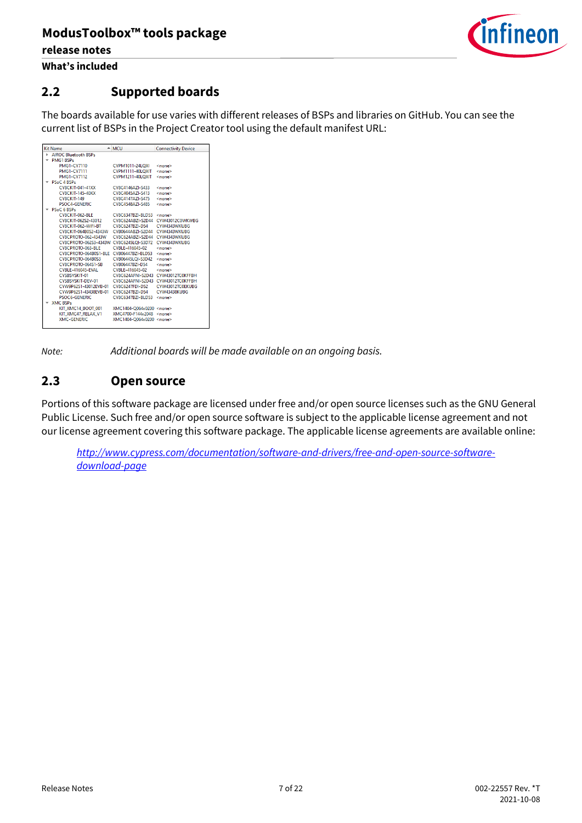

**What's included**

### <span id="page-6-0"></span>**2.2 Supported boards**

The boards available for use varies with different releases of BSPs and libraries on GitHub. You can see the current list of BSPs in the Project Creator tool using the default manifest URL:

|    | <b>Kit Name</b>                                      | $-$ MCU                            | <b>Connectivity Device</b> |
|----|------------------------------------------------------|------------------------------------|----------------------------|
| ь. | <b>AIROC Bluetooth BSPs</b>                          |                                    |                            |
|    | <b>PMG1 BSPs</b>                                     |                                    |                            |
|    | PMG1-CY7110                                          | <b>CYPM1011-24LOXI</b>             | <none></none>              |
|    | <b>PMG1-CY7111</b>                                   | CYPM1111-40LOXIT                   | <none></none>              |
|    | <b>PMG1-CY7112</b>                                   | CYPM1211-40LOXIT                   | <none></none>              |
|    | PSoC 4 BSPs                                          |                                    |                            |
|    | <b>CY8CKIT-041-41XX</b>                              | CY8C4146AZI-S433                   | <none></none>              |
|    | CY8CKIT-145-40XX                                     | CV8C4045A7I-S413                   | <none></none>              |
|    | <b>CY8CKIT-149</b>                                   | CY8C4147AZI-S475                   | <none></none>              |
|    | PSOC4-GENERIC                                        | CY8C4548A7I-S485                   | <none></none>              |
|    | PSoC 6 BSPs                                          |                                    |                            |
|    | CY8CKIT-062-BLE CY8C6347BZI-BLD53 <none></none>      |                                    |                            |
|    |                                                      |                                    |                            |
|    | CY8CKIT-062-WIFI-BT CY8C6247BZI-D54 CYW4343WKUBG     |                                    |                            |
|    | CY8CKIT-064B0S2-4343W                                | CYB0644ABZI-S2D44 CYW4343WKUBG     |                            |
|    | CY8CPROTO-062-4343W                                  | CY8C624ABZI-S2D44 CYW4343WKUBG     |                            |
|    | CY8CPROTO-062S3-4343W CY8C6245LOI-S3D72 CYW4343WKUBG |                                    |                            |
|    | CY8CPROTO-063-BLE                                    | CYBLE-416045-02                    | <none></none>              |
|    | CY8CPROTO-064B0S1-BLE CYB06447BZI-BLD53              |                                    | <none></none>              |
|    | CY8CPROTO-064B0S3                                    | CYB06445LOI-S3D42                  | <none></none>              |
|    | CY8CPROTO-064S1-SB    CYB06447BZI-D54                |                                    | <none></none>              |
|    | CYBLE-416045-EVAL                                    | CYBLE-416045-02 <none></none>      |                            |
|    | CYSBSYSKIT-01                                        | CY8C624AFNI-S2D43 CYW43012TC0KFFBH |                            |
|    | CYSBSYSKIT-DEV-01                                    | CY8C624AFNI-S2D43 CYW43012TC0KFFBH |                            |
|    | CYW9P62S1-43012EVB-01 CY8C6247EDI-D52                |                                    | CYW43012TC0EKUBG           |
|    | CYW9P62S1-43438EVB-01 CY8C6247BZI-D54                |                                    | CYW43438KUBG               |
|    | PSOC6-GENERIC                                        | CY8C6347BZI-BLD53                  | <none></none>              |
|    | <b>XMC BSPs</b>                                      |                                    |                            |
|    | KIT XMC14 BOOT 001 XMC1404-Q064x0200 <none></none>   |                                    |                            |
|    | KIT XMC47 RELAX V1                                   | XMC4700-F144x2048 <none></none>    |                            |
|    | XMC-GENERIC                                          | XMC1404-O064x0200 <none></none>    |                            |
|    |                                                      |                                    |                            |

*Note: Additional boards will be made available on an ongoing basis.*

#### <span id="page-6-1"></span>**2.3 Open source**

Portions of this software package are licensed under free and/or open source licenses such as the GNU General Public License. Such free and/or open source software is subject to the applicable license agreement and not our license agreement covering this software package. The applicable license agreements are available online:

*[http://www.cypress.com/documentation/software-and-drivers/free-and-open-source-software](http://www.cypress.com/documentation/software-and-drivers/free-and-open-source-software-download-page)[download-page](http://www.cypress.com/documentation/software-and-drivers/free-and-open-source-software-download-page)*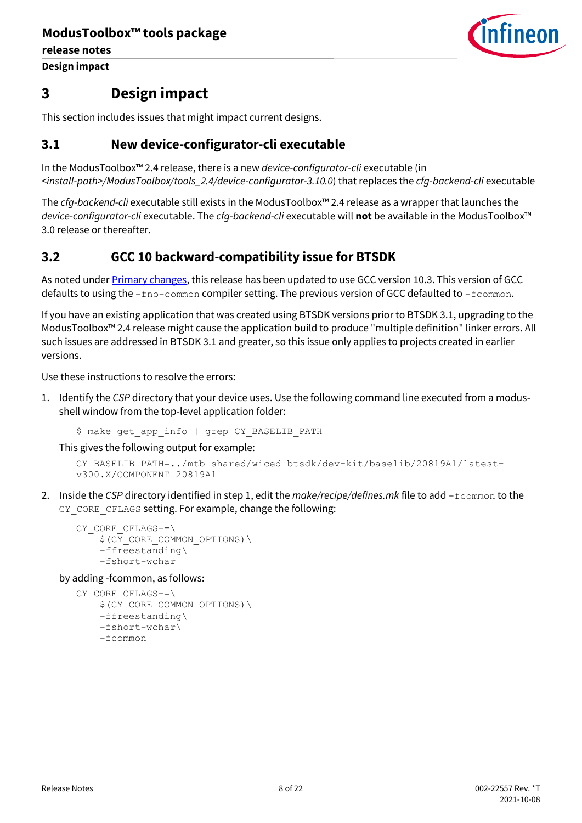**release notes**

**Design impact**



### <span id="page-7-0"></span>**3 Design impact**

This section includes issues that might impact current designs.

#### <span id="page-7-1"></span>**3.1 New device-configurator-cli executable**

In the ModusToolbox™ 2.4 release, there is a new *device-configurator-cli* executable (in *<install-path>/ModusToolbox/tools\_2.4/device-configurator-3.10.0*) that replaces the *cfg-backend-cli* executable

The *cfg-backend-cli* executable still exists in the ModusToolbox™ 2.4 release as a wrapper that launches the *device-configurator-cli* executable. The *cfg-backend-cli* executable will **not** be available in the ModusToolbox™ 3.0 release or thereafter.

#### <span id="page-7-2"></span>**3.2 GCC 10 backward-compatibility issue for BTSDK**

As noted under **Primary changes**, this release has been updated to use GCC version 10.3. This version of GCC defaults to using the  $-$ fno-common compiler setting. The previous version of GCC defaulted to -fcommon.

If you have an existing application that was created using BTSDK versions prior to BTSDK 3.1, upgrading to the ModusToolbox™ 2.4 release might cause the application build to produce "multiple definition" linker errors. All such issues are addressed in BTSDK 3.1 and greater, so this issue only applies to projects created in earlier versions.

Use these instructions to resolve the errors:

1. Identify the *CSP* directory that your device uses. Use the following command line executed from a modusshell window from the top-level application folder:

```
$ make get app info | grep CY BASELIB PATH
```
This gives the following output for example:

```
CY_BASELIB_PATH=../mtb_shared/wiced_btsdk/dev-kit/baselib/20819A1/latest-
v300.X/COMPONENT_20819A1
```
2. Inside the *CSP* directory identified in step 1, edit the *make/recipe/defines.mk* file to add -fcommon to the CY\_CORE\_CFLAGS setting. For example, change the following:

```
CY_CORE_CFLAGS+=\
    $ (CY CORE COMMON OPTIONS) \
     -ffreestanding\
     -fshort-wchar
```
by adding -fcommon, as follows:

```
CY_CORE_CFLAGS+=\
    $ (CY CORE COMMON OPTIONS) \
     -ffreestanding\
     -fshort-wchar\
     -fcommon
```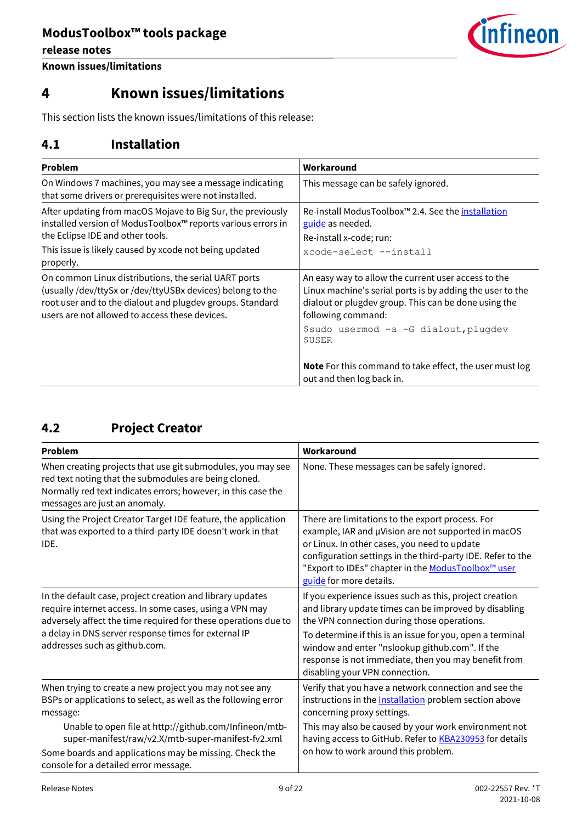**release notes**



**Known issues/limitations**

## <span id="page-8-0"></span>**4 Known issues/limitations**

This section lists the known issues/limitations of this release:

#### <span id="page-8-1"></span>**4.1 Installation**

| Problem                                                                                                                                                                                                                           | Workaround                                                                                                                                                                                     |  |
|-----------------------------------------------------------------------------------------------------------------------------------------------------------------------------------------------------------------------------------|------------------------------------------------------------------------------------------------------------------------------------------------------------------------------------------------|--|
| On Windows 7 machines, you may see a message indicating<br>that some drivers or prerequisites were not installed.                                                                                                                 | This message can be safely ignored.                                                                                                                                                            |  |
| After updating from macOS Mojave to Big Sur, the previously<br>installed version of ModusToolbox™ reports various errors in<br>the Eclipse IDE and other tools.<br>This issue is likely caused by xcode not being updated         | Re-install ModusToolbox <sup>™</sup> 2.4. See the installation<br>guide as needed.<br>Re-install x-code; run:<br>xcode-select --install                                                        |  |
| properly.                                                                                                                                                                                                                         |                                                                                                                                                                                                |  |
| On common Linux distributions, the serial UART ports<br>(usually /dev/ttySx or /dev/ttyUSBx devices) belong to the<br>root user and to the dialout and plugdev groups. Standard<br>users are not allowed to access these devices. | An easy way to allow the current user access to the<br>Linux machine's serial ports is by adding the user to the<br>dialout or plugdev group. This can be done using the<br>following command: |  |
|                                                                                                                                                                                                                                   | \$sudo usermod -a -G dialout, plugdev<br>\$USER                                                                                                                                                |  |
|                                                                                                                                                                                                                                   | <b>Note</b> For this command to take effect, the user must log<br>out and then log back in.                                                                                                    |  |

### <span id="page-8-2"></span>**4.2 Project Creator**

| <b>Problem</b>                                                                                                                                                                                                                                                                                                                                           | Workaround                                                                                                                                                                                                                                                                                                                                                               |  |
|----------------------------------------------------------------------------------------------------------------------------------------------------------------------------------------------------------------------------------------------------------------------------------------------------------------------------------------------------------|--------------------------------------------------------------------------------------------------------------------------------------------------------------------------------------------------------------------------------------------------------------------------------------------------------------------------------------------------------------------------|--|
| When creating projects that use git submodules, you may see<br>red text noting that the submodules are being cloned.<br>Normally red text indicates errors; however, in this case the<br>messages are just an anomaly.                                                                                                                                   | None. These messages can be safely ignored.                                                                                                                                                                                                                                                                                                                              |  |
| Using the Project Creator Target IDE feature, the application<br>that was exported to a third-party IDE doesn't work in that<br>IDE.                                                                                                                                                                                                                     | There are limitations to the export process. For<br>example, IAR and µVision are not supported in macOS<br>or Linux. In other cases, you need to update<br>configuration settings in the third-party IDE. Refer to the<br>"Export to IDEs" chapter in the ModusToolbox <sup>™</sup> user<br>guide for more details.                                                      |  |
| In the default case, project creation and library updates<br>require internet access. In some cases, using a VPN may<br>adversely affect the time required for these operations due to<br>a delay in DNS server response times for external IP<br>addresses such as github.com.                                                                          | If you experience issues such as this, project creation<br>and library update times can be improved by disabling<br>the VPN connection during those operations.<br>To determine if this is an issue for you, open a terminal<br>window and enter "nslookup github.com". If the<br>response is not immediate, then you may benefit from<br>disabling your VPN connection. |  |
| When trying to create a new project you may not see any<br>BSPs or applications to select, as well as the following error<br>message:<br>Unable to open file at http://github.com/Infineon/mtb-<br>super-manifest/raw/v2.X/mtb-super-manifest-fv2.xml<br>Some boards and applications may be missing. Check the<br>console for a detailed error message. | Verify that you have a network connection and see the<br>instructions in the <b>Installation</b> problem section above<br>concerning proxy settings.<br>This may also be caused by your work environment not<br>having access to GitHub. Refer to <b>KBA230953</b> for details<br>on how to work around this problem.                                                    |  |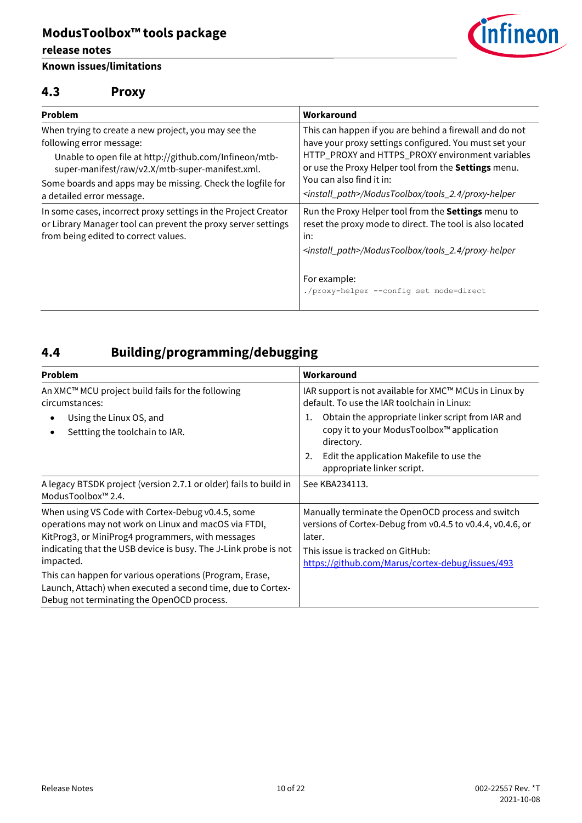#### **release notes**

#### **Known issues/limitations**



#### <span id="page-9-0"></span>**4.3 Proxy**

| Problem                                                                                                                                                                                       | Workaround                                                                                                                                                                                                                                                |  |
|-----------------------------------------------------------------------------------------------------------------------------------------------------------------------------------------------|-----------------------------------------------------------------------------------------------------------------------------------------------------------------------------------------------------------------------------------------------------------|--|
| When trying to create a new project, you may see the<br>following error message:<br>Unable to open file at http://github.com/Infineon/mtb-<br>super-manifest/raw/v2.X/mtb-super-manifest.xml. | This can happen if you are behind a firewall and do not<br>have your proxy settings configured. You must set your<br>HTTP_PROXY and HTTPS_PROXY environment variables<br>or use the Proxy Helper tool from the Settings menu.<br>You can also find it in: |  |
| Some boards and apps may be missing. Check the logfile for<br>a detailed error message.                                                                                                       | <install_path>/ModusToolbox/tools_2.4/proxy-helper</install_path>                                                                                                                                                                                         |  |
| In some cases, incorrect proxy settings in the Project Creator<br>or Library Manager tool can prevent the proxy server settings<br>from being edited to correct values.                       | Run the Proxy Helper tool from the Settings menu to<br>reset the proxy mode to direct. The tool is also located<br>in:<br><install_path>/ModusToolbox/tools_2.4/proxy-helper</install_path>                                                               |  |
|                                                                                                                                                                                               | For example:<br>./proxy-helper --config set mode=direct                                                                                                                                                                                                   |  |

## <span id="page-9-1"></span>**4.4 Building/programming/debugging**

| <b>Problem</b>                                                                                                                                                                                                                                                                                                                                                                                                         | Workaround                                                                                                                                                                                                                                                                                                  |  |
|------------------------------------------------------------------------------------------------------------------------------------------------------------------------------------------------------------------------------------------------------------------------------------------------------------------------------------------------------------------------------------------------------------------------|-------------------------------------------------------------------------------------------------------------------------------------------------------------------------------------------------------------------------------------------------------------------------------------------------------------|--|
| An XMC™ MCU project build fails for the following<br>circumstances:<br>Using the Linux OS, and<br>Settting the toolchain to IAR.                                                                                                                                                                                                                                                                                       | IAR support is not available for XMC™ MCUs in Linux by<br>default. To use the IAR toolchain in Linux:<br>Obtain the appropriate linker script from IAR and<br>1.<br>copy it to your ModusToolbox™ application<br>directory.<br>Edit the application Makefile to use the<br>2.<br>appropriate linker script. |  |
| A legacy BTSDK project (version 2.7.1 or older) fails to build in<br>ModusToolbox <sup>™</sup> 2.4.                                                                                                                                                                                                                                                                                                                    | See KBA234113.                                                                                                                                                                                                                                                                                              |  |
| When using VS Code with Cortex-Debug v0.4.5, some<br>operations may not work on Linux and macOS via FTDI,<br>KitProg3, or MiniProg4 programmers, with messages<br>indicating that the USB device is busy. The J-Link probe is not<br>impacted.<br>This can happen for various operations (Program, Erase,<br>Launch, Attach) when executed a second time, due to Cortex-<br>Debug not terminating the OpenOCD process. | Manually terminate the OpenOCD process and switch<br>versions of Cortex-Debug from v0.4.5 to v0.4.4, v0.4.6, or<br>later.<br>This issue is tracked on GitHub:<br>https://github.com/Marus/cortex-debug/issues/493                                                                                           |  |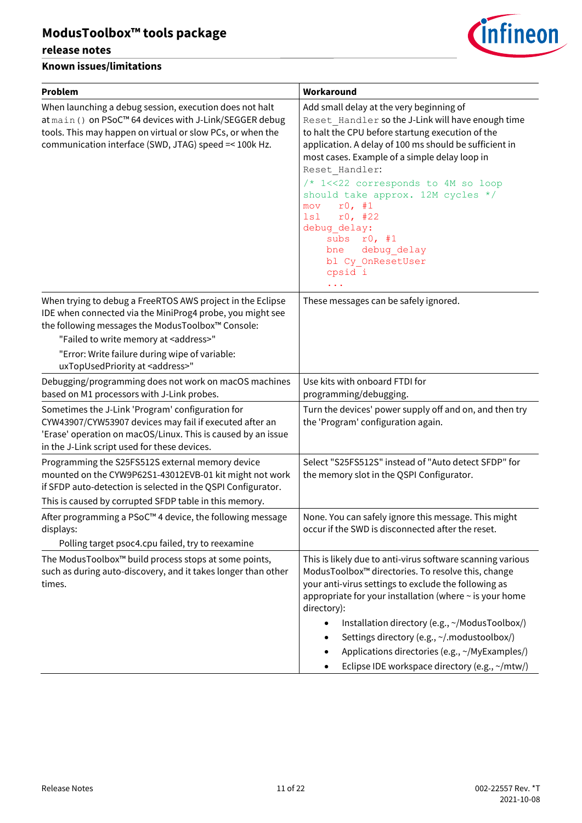#### **release notes**



| <b>Problem</b>                                                                                                                                                                                                                            | Workaround                                                                                                                                                                                                                                                                                                                                                                                                                                                                           |  |
|-------------------------------------------------------------------------------------------------------------------------------------------------------------------------------------------------------------------------------------------|--------------------------------------------------------------------------------------------------------------------------------------------------------------------------------------------------------------------------------------------------------------------------------------------------------------------------------------------------------------------------------------------------------------------------------------------------------------------------------------|--|
| When launching a debug session, execution does not halt<br>at main () on PSoC™ 64 devices with J-Link/SEGGER debug<br>tools. This may happen on virtual or slow PCs, or when the<br>communication interface (SWD, JTAG) speed =< 100k Hz. | Add small delay at the very beginning of<br>Reset Handler so the J-Link will have enough time<br>to halt the CPU before startung execution of the<br>application. A delay of 100 ms should be sufficient in<br>most cases. Example of a simple delay loop in<br>Reset Handler:<br>/* 1<<22 corresponds to 4M so loop<br>should take approx. 12M cycles */<br>r0, #1<br>mov<br>r0, #22<br>lsl<br>debug delay:<br>subs<br>r0, #1<br>debug delay<br>bne<br>bl Cy OnResetUser<br>cpsid i |  |
| When trying to debug a FreeRTOS AWS project in the Eclipse<br>IDE when connected via the MiniProg4 probe, you might see<br>the following messages the ModusToolbox™ Console:                                                              | These messages can be safely ignored.                                                                                                                                                                                                                                                                                                                                                                                                                                                |  |
| "Failed to write memory at <address>"<br/>"Error: Write failure during wipe of variable:<br/>uxTopUsedPriority at <address>"</address></address>                                                                                          |                                                                                                                                                                                                                                                                                                                                                                                                                                                                                      |  |
| Debugging/programming does not work on macOS machines<br>based on M1 processors with J-Link probes.                                                                                                                                       | Use kits with onboard FTDI for<br>programming/debugging.                                                                                                                                                                                                                                                                                                                                                                                                                             |  |
| Sometimes the J-Link 'Program' configuration for<br>CYW43907/CYW53907 devices may fail if executed after an<br>'Erase' operation on macOS/Linux. This is caused by an issue<br>in the J-Link script used for these devices.               | Turn the devices' power supply off and on, and then try<br>the 'Program' configuration again.                                                                                                                                                                                                                                                                                                                                                                                        |  |
| Programming the S25FS512S external memory device<br>mounted on the CYW9P62S1-43012EVB-01 kit might not work<br>if SFDP auto-detection is selected in the QSPI Configurator.<br>This is caused by corrupted SFDP table in this memory.     | Select "S25FS512S" instead of "Auto detect SFDP" for<br>the memory slot in the QSPI Configurator.                                                                                                                                                                                                                                                                                                                                                                                    |  |
| After programming a PSoC™4 device, the following message<br>displays:<br>Polling target psoc4.cpu failed, try to reexamine                                                                                                                | None. You can safely ignore this message. This might<br>occur if the SWD is disconnected after the reset.                                                                                                                                                                                                                                                                                                                                                                            |  |
| The ModusToolbox™ build process stops at some points,<br>such as during auto-discovery, and it takes longer than other<br>times.                                                                                                          | This is likely due to anti-virus software scanning various<br>ModusToolbox™ directories. To resolve this, change<br>your anti-virus settings to exclude the following as<br>appropriate for your installation (where ~ is your home<br>directory):<br>Installation directory (e.g., ~/ModusToolbox/)<br>$\bullet$<br>Settings directory (e.g., ~/.modustoolbox/)<br>Applications directories (e.g., ~/MyExamples/)<br>Eclipse IDE workspace directory (e.g., ~/mtw/)                 |  |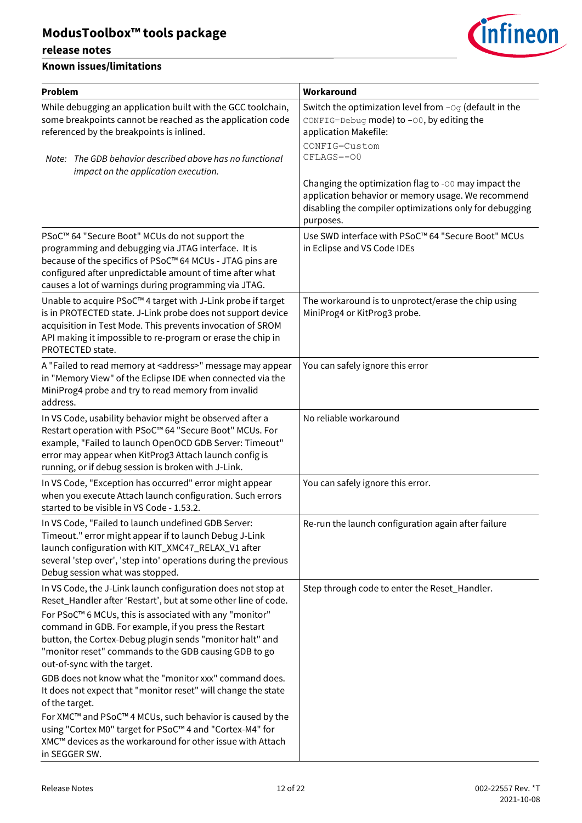#### **release notes**



| Problem                                                                                                                                                                                                                                                                                                                                                                                                 | Workaround                                                                                                                                                                         |
|---------------------------------------------------------------------------------------------------------------------------------------------------------------------------------------------------------------------------------------------------------------------------------------------------------------------------------------------------------------------------------------------------------|------------------------------------------------------------------------------------------------------------------------------------------------------------------------------------|
| While debugging an application built with the GCC toolchain,<br>some breakpoints cannot be reached as the application code<br>referenced by the breakpoints is inlined.                                                                                                                                                                                                                                 | Switch the optimization level from $-\circ q$ (default in the<br>CONFIG=Debug mode) to -00, by editing the<br>application Makefile:<br>CONFIG=Custom                               |
| Note: The GDB behavior described above has no functional<br>impact on the application execution.                                                                                                                                                                                                                                                                                                        | CFLAGS=-00                                                                                                                                                                         |
|                                                                                                                                                                                                                                                                                                                                                                                                         | Changing the optimization flag to -00 may impact the<br>application behavior or memory usage. We recommend<br>disabling the compiler optimizations only for debugging<br>purposes. |
| PSoC™ 64 "Secure Boot" MCUs do not support the<br>programming and debugging via JTAG interface. It is<br>because of the specifics of PSoC™ 64 MCUs - JTAG pins are<br>configured after unpredictable amount of time after what<br>causes a lot of warnings during programming via JTAG.                                                                                                                 | Use SWD interface with PSoC™ 64 "Secure Boot" MCUs<br>in Eclipse and VS Code IDEs                                                                                                  |
| Unable to acquire PSoC™4 target with J-Link probe if target<br>is in PROTECTED state. J-Link probe does not support device<br>acquisition in Test Mode. This prevents invocation of SROM<br>API making it impossible to re-program or erase the chip in<br>PROTECTED state.                                                                                                                             | The workaround is to unprotect/erase the chip using<br>MiniProg4 or KitProg3 probe.                                                                                                |
| A "Failed to read memory at <address>" message may appear<br/>in "Memory View" of the Eclipse IDE when connected via the<br/>MiniProg4 probe and try to read memory from invalid<br/>address.</address>                                                                                                                                                                                                 | You can safely ignore this error                                                                                                                                                   |
| In VS Code, usability behavior might be observed after a<br>Restart operation with PSoC™ 64 "Secure Boot" MCUs. For<br>example, "Failed to launch OpenOCD GDB Server: Timeout"<br>error may appear when KitProg3 Attach launch config is<br>running, or if debug session is broken with J-Link.                                                                                                         | No reliable workaround                                                                                                                                                             |
| In VS Code, "Exception has occurred" error might appear<br>when you execute Attach launch configuration. Such errors<br>started to be visible in VS Code - 1.53.2.                                                                                                                                                                                                                                      | You can safely ignore this error.                                                                                                                                                  |
| In VS Code, "Failed to launch undefined GDB Server:<br>Timeout." error might appear if to launch Debug J-Link<br>launch configuration with KIT_XMC47_RELAX_V1 after<br>several 'step over', 'step into' operations during the previous<br>Debug session what was stopped.                                                                                                                               | Re-run the launch configuration again after failure                                                                                                                                |
| In VS Code, the J-Link launch configuration does not stop at<br>Reset_Handler after 'Restart', but at some other line of code.<br>For PSoC™ 6 MCUs, this is associated with any "monitor"<br>command in GDB. For example, if you press the Restart<br>button, the Cortex-Debug plugin sends "monitor halt" and<br>"monitor reset" commands to the GDB causing GDB to go<br>out-of-sync with the target. | Step through code to enter the Reset_Handler.                                                                                                                                      |
| GDB does not know what the "monitor xxx" command does.<br>It does not expect that "monitor reset" will change the state<br>of the target.<br>For XMC™ and PSoC™ 4 MCUs, such behavior is caused by the<br>using "Cortex M0" target for PSoC™4 and "Cortex-M4" for<br>XMC™ devices as the workaround for other issue with Attach<br>in SEGGER SW.                                                        |                                                                                                                                                                                    |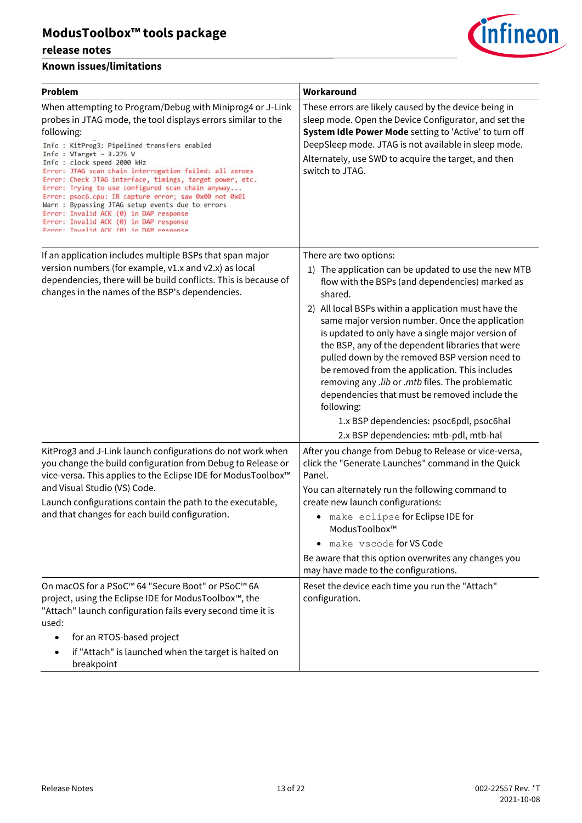#### **release notes**



| <b>Problem</b>                                                                                                                                                                                                                                                                                                                                                                                                                                                                                                                                                                                                                                                            | Workaround                                                                                                                                                                                                                                                                                                                                                                                                                                                                                                                                                                                                                                                                     |
|---------------------------------------------------------------------------------------------------------------------------------------------------------------------------------------------------------------------------------------------------------------------------------------------------------------------------------------------------------------------------------------------------------------------------------------------------------------------------------------------------------------------------------------------------------------------------------------------------------------------------------------------------------------------------|--------------------------------------------------------------------------------------------------------------------------------------------------------------------------------------------------------------------------------------------------------------------------------------------------------------------------------------------------------------------------------------------------------------------------------------------------------------------------------------------------------------------------------------------------------------------------------------------------------------------------------------------------------------------------------|
| When attempting to Program/Debug with Miniprog4 or J-Link<br>probes in JTAG mode, the tool displays errors similar to the<br>following:<br>Info : KitProg3: Pipelined transfers enabled<br>Info: $VTarget = 3.276 V$<br>Info: clock speed 2000 kHz<br>Error: JTAG scan chain interrogation failed: all zeroes<br>Error: Check JTAG interface, timings, target power, etc.<br>Error: Trying to use configured scan chain anyway<br>Error: psoc6.cpu: IR capture error; saw 0x00 not 0x01<br>Warn : Bypassing JTAG setup events due to errors<br>Error: Invalid ACK (0) in DAP response<br>Error: Invalid ACK (0) in DAP response<br>Frror: Invalid ACK (0) in DAP response | These errors are likely caused by the device being in<br>sleep mode. Open the Device Configurator, and set the<br>System Idle Power Mode setting to 'Active' to turn off<br>DeepSleep mode. JTAG is not available in sleep mode.<br>Alternately, use SWD to acquire the target, and then<br>switch to JTAG.                                                                                                                                                                                                                                                                                                                                                                    |
| If an application includes multiple BSPs that span major<br>version numbers (for example, v1.x and v2.x) as local<br>dependencies, there will be build conflicts. This is because of<br>changes in the names of the BSP's dependencies.                                                                                                                                                                                                                                                                                                                                                                                                                                   | There are two options:<br>1) The application can be updated to use the new MTB<br>flow with the BSPs (and dependencies) marked as<br>shared.<br>2) All local BSPs within a application must have the<br>same major version number. Once the application<br>is updated to only have a single major version of<br>the BSP, any of the dependent libraries that were<br>pulled down by the removed BSP version need to<br>be removed from the application. This includes<br>removing any .lib or .mtb files. The problematic<br>dependencies that must be removed include the<br>following:<br>1.x BSP dependencies: psoc6pdl, psoc6hal<br>2.x BSP dependencies: mtb-pdl, mtb-hal |
| KitProg3 and J-Link launch configurations do not work when<br>you change the build configuration from Debug to Release or<br>vice-versa. This applies to the Eclipse IDE for ModusToolbox™<br>and Visual Studio (VS) Code.<br>Launch configurations contain the path to the executable,<br>and that changes for each build configuration.                                                                                                                                                                                                                                                                                                                                 | After you change from Debug to Release or vice-versa,<br>click the "Generate Launches" command in the Quick<br>Panel.<br>You can alternately run the following command to<br>create new launch configurations:<br>• make eclipse for Eclipse IDE for<br>ModusToolbox™<br>make vscode for VS Code<br>Be aware that this option overwrites any changes you<br>may have made to the configurations.                                                                                                                                                                                                                                                                               |
| On macOS for a PSoC™ 64 "Secure Boot" or PSoC™ 6A<br>project, using the Eclipse IDE for ModusToolbox™, the<br>"Attach" launch configuration fails every second time it is<br>used:<br>for an RTOS-based project<br>if "Attach" is launched when the target is halted on<br>breakpoint                                                                                                                                                                                                                                                                                                                                                                                     | Reset the device each time you run the "Attach"<br>configuration.                                                                                                                                                                                                                                                                                                                                                                                                                                                                                                                                                                                                              |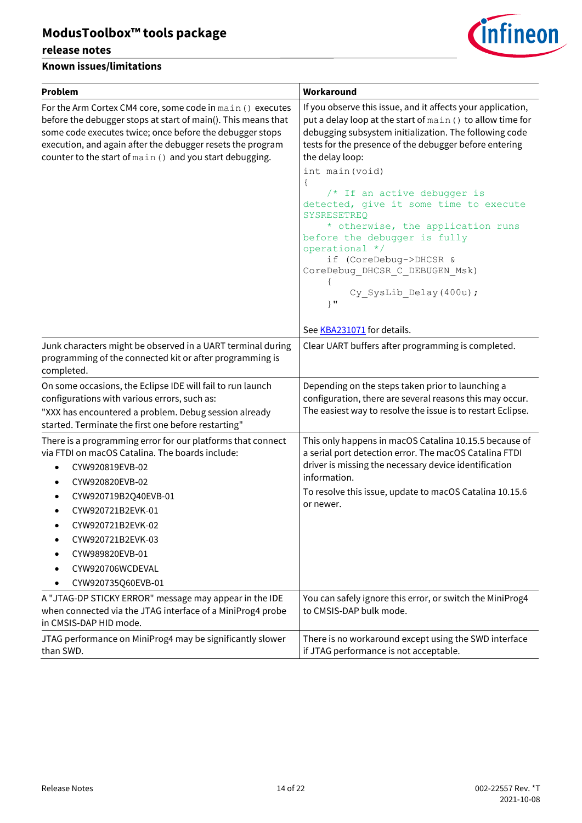#### **release notes**



| Problem                                                                                                                                                                                                                                                                                                               | Workaround                                                                                                                                                                                                                                                                                                                                                                                                                                                                                                                                                                              |
|-----------------------------------------------------------------------------------------------------------------------------------------------------------------------------------------------------------------------------------------------------------------------------------------------------------------------|-----------------------------------------------------------------------------------------------------------------------------------------------------------------------------------------------------------------------------------------------------------------------------------------------------------------------------------------------------------------------------------------------------------------------------------------------------------------------------------------------------------------------------------------------------------------------------------------|
| For the Arm Cortex CM4 core, some code in main () executes<br>before the debugger stops at start of main(). This means that<br>some code executes twice; once before the debugger stops<br>execution, and again after the debugger resets the program<br>counter to the start of main () and you start debugging.     | If you observe this issue, and it affects your application,<br>put a delay loop at the start of main () to allow time for<br>debugging subsystem initialization. The following code<br>tests for the presence of the debugger before entering<br>the delay loop:<br>int main (void)<br>$\{$<br>/* If an active debugger is<br>detected, give it some time to execute<br>SYSRESETREO<br>* otherwise, the application runs<br>before the debugger is fully<br>operational */<br>if (CoreDebug->DHCSR &<br>CoreDebug_DHCSR_C_DEBUGEN_Msk)<br>Cy SysLib Delay (400u) ;<br>$\}$ $\mathbf{u}$ |
| Junk characters might be observed in a UART terminal during<br>programming of the connected kit or after programming is<br>completed.                                                                                                                                                                                 | See KBA231071 for details.<br>Clear UART buffers after programming is completed.                                                                                                                                                                                                                                                                                                                                                                                                                                                                                                        |
| On some occasions, the Eclipse IDE will fail to run launch<br>configurations with various errors, such as:<br>"XXX has encountered a problem. Debug session already<br>started. Terminate the first one before restarting"                                                                                            | Depending on the steps taken prior to launching a<br>configuration, there are several reasons this may occur.<br>The easiest way to resolve the issue is to restart Eclipse.                                                                                                                                                                                                                                                                                                                                                                                                            |
| There is a programming error for our platforms that connect<br>via FTDI on macOS Catalina. The boards include:<br>CYW920819EVB-02<br>$\bullet$<br>CYW920820EVB-02<br>CYW920719B2Q40EVB-01<br>CYW920721B2EVK-01<br>CYW920721B2EVK-02<br>CYW920721B2EVK-03<br>CYW989820EVB-01<br>CYW920706WCDEVAL<br>CYW920735Q60EVB-01 | This only happens in macOS Catalina 10.15.5 because of<br>a serial port detection error. The macOS Catalina FTDI<br>driver is missing the necessary device identification<br>information.<br>To resolve this issue, update to macOS Catalina 10.15.6<br>or newer.                                                                                                                                                                                                                                                                                                                       |
| A "JTAG-DP STICKY ERROR" message may appear in the IDE<br>when connected via the JTAG interface of a MiniProg4 probe<br>in CMSIS-DAP HID mode.                                                                                                                                                                        | You can safely ignore this error, or switch the MiniProg4<br>to CMSIS-DAP bulk mode.                                                                                                                                                                                                                                                                                                                                                                                                                                                                                                    |
| JTAG performance on MiniProg4 may be significantly slower<br>than SWD.                                                                                                                                                                                                                                                | There is no workaround except using the SWD interface<br>if JTAG performance is not acceptable.                                                                                                                                                                                                                                                                                                                                                                                                                                                                                         |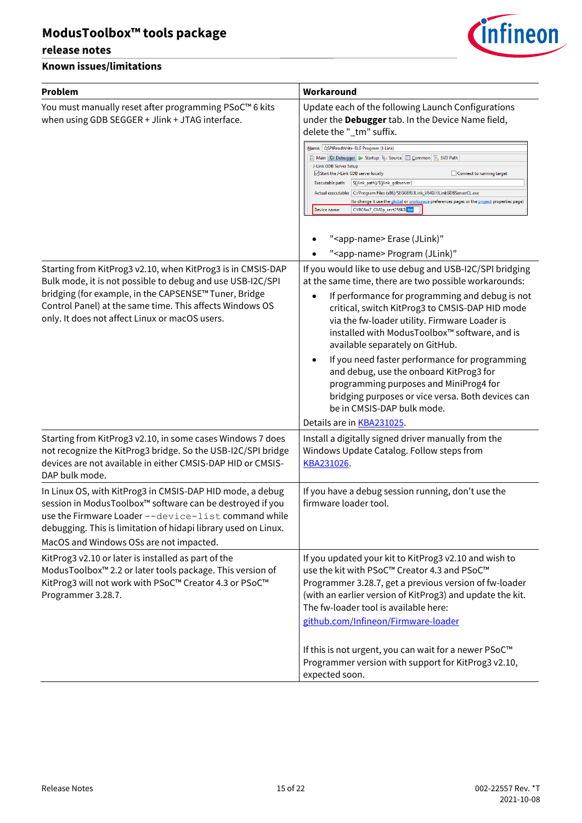#### **release notes**



| <b>Problem</b>                                                                                                                                                                                                                                                                                   | Workaround                                                                                                                                                                                                                                                                                                                                                                                                                                                                                                                                                                                                                                                       |
|--------------------------------------------------------------------------------------------------------------------------------------------------------------------------------------------------------------------------------------------------------------------------------------------------|------------------------------------------------------------------------------------------------------------------------------------------------------------------------------------------------------------------------------------------------------------------------------------------------------------------------------------------------------------------------------------------------------------------------------------------------------------------------------------------------------------------------------------------------------------------------------------------------------------------------------------------------------------------|
| You must manually reset after programming PSoC™ 6 kits<br>when using GDB SEGGER + Jlink + JTAG interface.                                                                                                                                                                                        | Update each of the following Launch Configurations<br>under the Debugger tab. In the Device Name field,<br>delete the "_tm" suffix.<br>Name: QSPIReadWrite-BLE Program (J-Link)<br>■ Main   称 Debugger   ▶ Startup   by Source   ■ Common   只 SVD Path<br>J-Link GDB Server Setup<br>Start the J-Link GDB server locally<br>Connect to running target<br>Executable path:<br>S{jlink_path}/\${jlink_gdbserver}<br>Actual executable:   C:/Program Files (x86)/SEGGER/JLink_V640//JLinkGDBServerCL.exe<br><u>(to change it use the global or workspace</u> preferences pages or the <u>project</u> properties page)<br>CY8C6xx7_CM0p_sect256KB_tm<br>Device name: |
|                                                                                                                                                                                                                                                                                                  | " <app-name> Erase (JLink)"<br/>"<app-name> Program (JLink)"</app-name></app-name>                                                                                                                                                                                                                                                                                                                                                                                                                                                                                                                                                                               |
| Starting from KitProg3 v2.10, when KitProg3 is in CMSIS-DAP<br>Bulk mode, it is not possible to debug and use USB-I2C/SPI<br>bridging (for example, in the CAPSENSE™ Tuner, Bridge<br>Control Panel) at the same time. This affects Windows OS<br>only. It does not affect Linux or macOS users. | If you would like to use debug and USB-I2C/SPI bridging<br>at the same time, there are two possible workarounds:<br>If performance for programming and debug is not<br>critical, switch KitProg3 to CMSIS-DAP HID mode<br>via the fw-loader utility. Firmware Loader is<br>installed with ModusToolbox™ software, and is<br>available separately on GitHub.<br>If you need faster performance for programming<br>and debug, use the onboard KitProg3 for<br>programming purposes and MiniProg4 for<br>bridging purposes or vice versa. Both devices can<br>be in CMSIS-DAP bulk mode.<br>Details are in <b>KBA231025</b> .                                       |
| Starting from KitProg3 v2.10, in some cases Windows 7 does<br>not recognize the KitProg3 bridge. So the USB-I2C/SPI bridge<br>devices are not available in either CMSIS-DAP HID or CMSIS-<br>DAP bulk mode.                                                                                      | Install a digitally signed driver manually from the<br>Windows Update Catalog. Follow steps from<br>KBA231026.                                                                                                                                                                                                                                                                                                                                                                                                                                                                                                                                                   |
| In Linux OS, with KitProg3 in CMSIS-DAP HID mode, a debug<br>session in ModusToolbox™ software can be destroyed if you<br>use the Firmware Loader --device-list command while<br>debugging. This is limitation of hidapi library used on Linux.<br>MacOS and Windows OSs are not impacted.       | If you have a debug session running, don't use the<br>firmware loader tool.                                                                                                                                                                                                                                                                                                                                                                                                                                                                                                                                                                                      |
| KitProg3 v2.10 or later is installed as part of the<br>ModusToolbox <sup>™</sup> 2.2 or later tools package. This version of<br>KitProg3 will not work with PSoC™ Creator 4.3 or PSoC™<br>Programmer 3.28.7.                                                                                     | If you updated your kit to KitProg3 v2.10 and wish to<br>use the kit with PSoC™ Creator 4.3 and PSoC™<br>Programmer 3.28.7, get a previous version of fw-loader<br>(with an earlier version of KitProg3) and update the kit.<br>The fw-loader tool is available here:<br>github.com/Infineon/Firmware-loader                                                                                                                                                                                                                                                                                                                                                     |
|                                                                                                                                                                                                                                                                                                  | If this is not urgent, you can wait for a newer PSoC™<br>Programmer version with support for KitProg3 v2.10,<br>expected soon.                                                                                                                                                                                                                                                                                                                                                                                                                                                                                                                                   |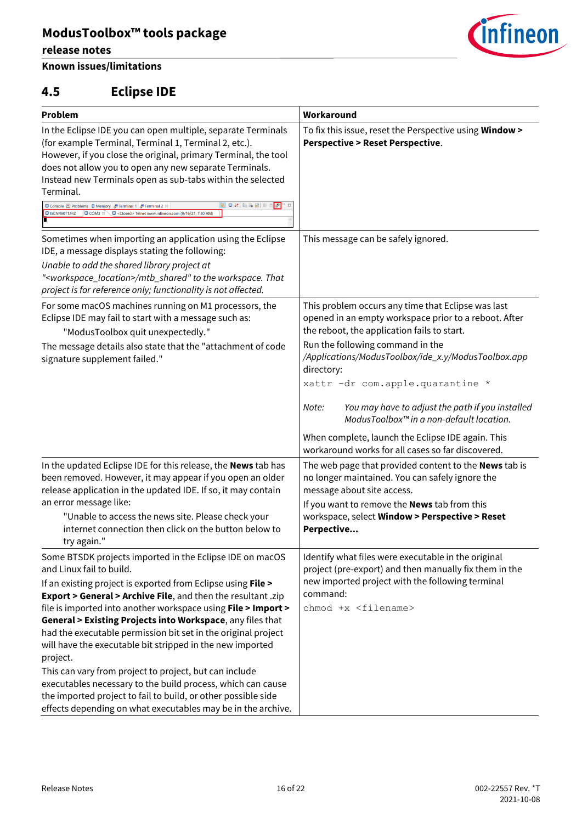#### **release notes**

### **Known issues/limitations**

### <span id="page-15-0"></span>**4.5 Eclipse IDE**

| <b>Problem</b>                                                                                                                                                                                                                                                                                                                                                                                                                                                                                                                                                                                                                                                                                                                                          | Workaround                                                                                                                                                                                                                                                                                              |
|---------------------------------------------------------------------------------------------------------------------------------------------------------------------------------------------------------------------------------------------------------------------------------------------------------------------------------------------------------------------------------------------------------------------------------------------------------------------------------------------------------------------------------------------------------------------------------------------------------------------------------------------------------------------------------------------------------------------------------------------------------|---------------------------------------------------------------------------------------------------------------------------------------------------------------------------------------------------------------------------------------------------------------------------------------------------------|
| In the Eclipse IDE you can open multiple, separate Terminals<br>(for example Terminal, Terminal 1, Terminal 2, etc.).<br>However, if you close the original, primary Terminal, the tool<br>does not allow you to open any new separate Terminals.<br>Instead new Terminals open as sub-tabs within the selected<br>Terminal.<br>日对南北国国<br>$\sqrt{9}$ $\Box$<br>Console 2 Problems   Memory & Terminal 1 & Terminal 2 $\%$<br>USCNR90T1JHZ   COM3 ¤ Closed> Telnet www.infineon.com (9/16/21, 7:30 AM                                                                                                                                                                                                                                                    | To fix this issue, reset the Perspective using Window ><br><b>Perspective &gt; Reset Perspective.</b>                                                                                                                                                                                                   |
| Sometimes when importing an application using the Eclipse<br>IDE, a message displays stating the following:<br>Unable to add the shared library project at<br>" <workspace_location>/mtb_shared" to the workspace. That<br/>project is for reference only; functionality is not affected.</workspace_location>                                                                                                                                                                                                                                                                                                                                                                                                                                          | This message can be safely ignored.                                                                                                                                                                                                                                                                     |
| For some macOS machines running on M1 processors, the<br>Eclipse IDE may fail to start with a message such as:<br>"ModusToolbox quit unexpectedly."<br>The message details also state that the "attachment of code<br>signature supplement failed."                                                                                                                                                                                                                                                                                                                                                                                                                                                                                                     | This problem occurs any time that Eclipse was last<br>opened in an empty workspace prior to a reboot. After<br>the reboot, the application fails to start.<br>Run the following command in the<br>/Applications/ModusToolbox/ide_x.y/ModusToolbox.app<br>directory:<br>xattr -dr com.apple.quarantine * |
|                                                                                                                                                                                                                                                                                                                                                                                                                                                                                                                                                                                                                                                                                                                                                         | You may have to adjust the path if you installed<br>Note:<br>ModusToolbox™ in a non-default location.<br>When complete, launch the Eclipse IDE again. This<br>workaround works for all cases so far discovered.                                                                                         |
| In the updated Eclipse IDE for this release, the News tab has<br>been removed. However, it may appear if you open an older<br>release application in the updated IDE. If so, it may contain<br>an error message like:<br>"Unable to access the news site. Please check your<br>internet connection then click on the button below to<br>try again."                                                                                                                                                                                                                                                                                                                                                                                                     | The web page that provided content to the <b>News</b> tab is<br>no longer maintained. You can safely ignore the<br>message about site access.<br>If you want to remove the <b>News</b> tab from this<br>workspace, select Window > Perspective > Reset<br>Perpective                                    |
| Some BTSDK projects imported in the Eclipse IDE on macOS<br>and Linux fail to build.<br>If an existing project is exported from Eclipse using File ><br>Export > General > Archive File, and then the resultant .zip<br>file is imported into another workspace using File > Import ><br>General > Existing Projects into Workspace, any files that<br>had the executable permission bit set in the original project<br>will have the executable bit stripped in the new imported<br>project.<br>This can vary from project to project, but can include<br>executables necessary to the build process, which can cause<br>the imported project to fail to build, or other possible side<br>effects depending on what executables may be in the archive. | Identify what files were executable in the original<br>project (pre-export) and then manually fix them in the<br>new imported project with the following terminal<br>command:<br>chmod +x <filename></filename>                                                                                         |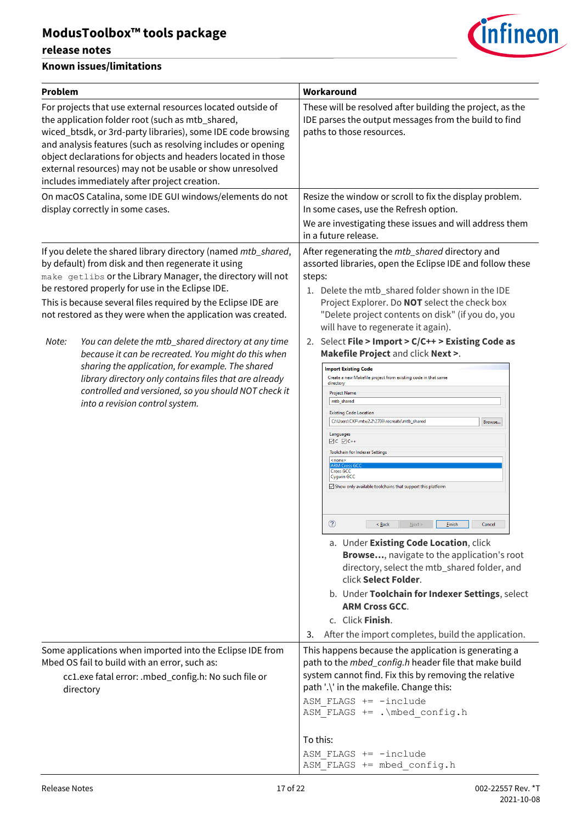#### **release notes**



| Problem   |                                                                                                                                                                                                                                                                                                                                                                                                                                                                                                                                                                                                                                                                                               | Workaround                                                                                                                                                                                                                                                                                                                                                                                                                                                                                                                                                                                                                                                                                                                                                                                                                                                                                                                                                                                                                                                                                                                                                                                                                                                                                                                         |
|-----------|-----------------------------------------------------------------------------------------------------------------------------------------------------------------------------------------------------------------------------------------------------------------------------------------------------------------------------------------------------------------------------------------------------------------------------------------------------------------------------------------------------------------------------------------------------------------------------------------------------------------------------------------------------------------------------------------------|------------------------------------------------------------------------------------------------------------------------------------------------------------------------------------------------------------------------------------------------------------------------------------------------------------------------------------------------------------------------------------------------------------------------------------------------------------------------------------------------------------------------------------------------------------------------------------------------------------------------------------------------------------------------------------------------------------------------------------------------------------------------------------------------------------------------------------------------------------------------------------------------------------------------------------------------------------------------------------------------------------------------------------------------------------------------------------------------------------------------------------------------------------------------------------------------------------------------------------------------------------------------------------------------------------------------------------|
|           | For projects that use external resources located outside of<br>the application folder root (such as mtb_shared,<br>wiced_btsdk, or 3rd-party libraries), some IDE code browsing<br>and analysis features (such as resolving includes or opening<br>object declarations for objects and headers located in those<br>external resources) may not be usable or show unresolved<br>includes immediately after project creation.                                                                                                                                                                                                                                                                   | These will be resolved after building the project, as the<br>IDE parses the output messages from the build to find<br>paths to those resources.                                                                                                                                                                                                                                                                                                                                                                                                                                                                                                                                                                                                                                                                                                                                                                                                                                                                                                                                                                                                                                                                                                                                                                                    |
|           | On macOS Catalina, some IDE GUI windows/elements do not<br>display correctly in some cases.                                                                                                                                                                                                                                                                                                                                                                                                                                                                                                                                                                                                   | Resize the window or scroll to fix the display problem.<br>In some cases, use the Refresh option.                                                                                                                                                                                                                                                                                                                                                                                                                                                                                                                                                                                                                                                                                                                                                                                                                                                                                                                                                                                                                                                                                                                                                                                                                                  |
|           |                                                                                                                                                                                                                                                                                                                                                                                                                                                                                                                                                                                                                                                                                               | We are investigating these issues and will address them<br>in a future release.                                                                                                                                                                                                                                                                                                                                                                                                                                                                                                                                                                                                                                                                                                                                                                                                                                                                                                                                                                                                                                                                                                                                                                                                                                                    |
| Note:     | If you delete the shared library directory (named mtb_shared,<br>by default) from disk and then regenerate it using<br>make getlibs or the Library Manager, the directory will not<br>be restored properly for use in the Eclipse IDE.<br>This is because several files required by the Eclipse IDE are<br>not restored as they were when the application was created.<br>You can delete the mtb_shared directory at any time<br>because it can be recreated. You might do this when<br>sharing the application, for example. The shared<br>library directory only contains files that are already<br>controlled and versioned, so you should NOT check it<br>into a revision control system. | After regenerating the mtb_shared directory and<br>assorted libraries, open the Eclipse IDE and follow these<br>steps:<br>1. Delete the mtb_shared folder shown in the IDE<br>Project Explorer. Do NOT select the check box<br>"Delete project contents on disk" (if you do, you<br>will have to regenerate it again).<br>2. Select File > Import > C/C++ > Existing Code as<br>Makefile Project and click Next >.<br><b>Import Existing Code</b><br>Create a new Makefile project from existing code in that same<br>directory<br><b>Project Name</b><br>mtb_shared<br><b>Existing Code Location</b><br>C:\Users\CKF\mtw2.2\2703\recreate\mtb_shared<br>Browse<br>Languages<br>$\boxtimes$ C $\boxtimes$ C++<br>Toolchain for Indexer Settings<br><none><br/><b>ARM Cross</b><br/><b>Cross GCC</b><br/><b>Cygwin GCC</b><br/>Show only available toolchains that support this platform<br/><math>\circledcirc</math><br/><math>\leq</math> Back<br/>Next<br/><b>Finish</b><br/>Cancel<br/>a. Under Existing Code Location, click<br/>Browse, navigate to the application's root<br/>directory, select the mtb_shared folder, and<br/>click Select Folder.<br/>b. Under Toolchain for Indexer Settings, select<br/><b>ARM Cross GCC.</b><br/>c. Click Finish.<br/>After the import completes, build the application.<br/>3.</none> |
| directory | Some applications when imported into the Eclipse IDE from<br>Mbed OS fail to build with an error, such as:<br>cc1.exe fatal error: .mbed_config.h: No such file or                                                                                                                                                                                                                                                                                                                                                                                                                                                                                                                            | This happens because the application is generating a<br>path to the <i>mbed_config.h</i> header file that make build<br>system cannot find. Fix this by removing the relative<br>path '.\' in the makefile. Change this:<br>ASM FLAGS += -include<br>ASM FLAGS += . \mbed config.h<br>To this:                                                                                                                                                                                                                                                                                                                                                                                                                                                                                                                                                                                                                                                                                                                                                                                                                                                                                                                                                                                                                                     |
|           |                                                                                                                                                                                                                                                                                                                                                                                                                                                                                                                                                                                                                                                                                               | ASM FLAGS $+=$ -include<br>ASM FLAGS += mbed config.h                                                                                                                                                                                                                                                                                                                                                                                                                                                                                                                                                                                                                                                                                                                                                                                                                                                                                                                                                                                                                                                                                                                                                                                                                                                                              |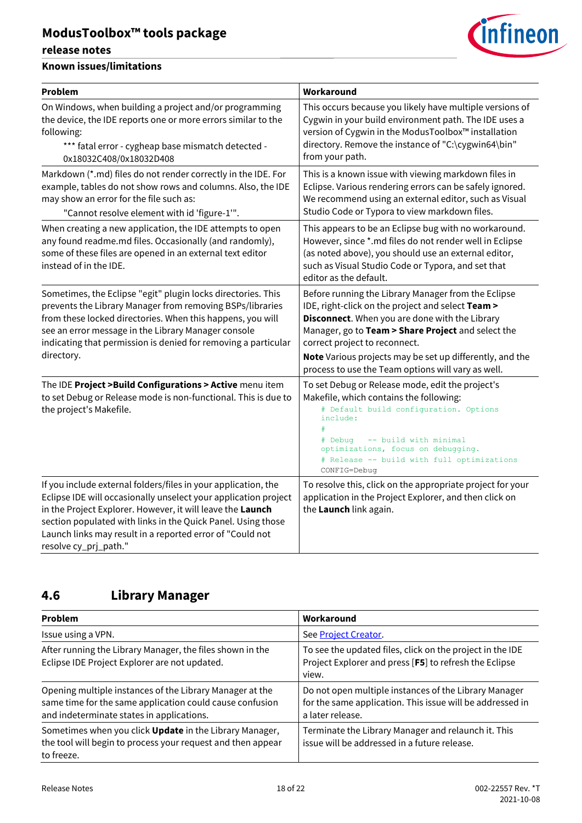#### **release notes**

#### **Known issues/limitations**

| <b>Problem</b>                                                                                                                                                                                                                                                                                                                                        | Workaround                                                                                                                                                                                                                                                                                                                                                          |
|-------------------------------------------------------------------------------------------------------------------------------------------------------------------------------------------------------------------------------------------------------------------------------------------------------------------------------------------------------|---------------------------------------------------------------------------------------------------------------------------------------------------------------------------------------------------------------------------------------------------------------------------------------------------------------------------------------------------------------------|
| On Windows, when building a project and/or programming<br>the device, the IDE reports one or more errors similar to the<br>following:<br>*** fatal error - cygheap base mismatch detected -<br>0x18032C408/0x18032D408                                                                                                                                | This occurs because you likely have multiple versions of<br>Cygwin in your build environment path. The IDE uses a<br>version of Cygwin in the ModusToolbox™ installation<br>directory. Remove the instance of "C:\cygwin64\bin"<br>from your path.                                                                                                                  |
| Markdown (*.md) files do not render correctly in the IDE. For<br>example, tables do not show rows and columns. Also, the IDE<br>may show an error for the file such as:<br>"Cannot resolve element with id 'figure-1"".                                                                                                                               | This is a known issue with viewing markdown files in<br>Eclipse. Various rendering errors can be safely ignored.<br>We recommend using an external editor, such as Visual<br>Studio Code or Typora to view markdown files.                                                                                                                                          |
| When creating a new application, the IDE attempts to open<br>any found readme.md files. Occasionally (and randomly),<br>some of these files are opened in an external text editor<br>instead of in the IDE.                                                                                                                                           | This appears to be an Eclipse bug with no workaround.<br>However, since *.md files do not render well in Eclipse<br>(as noted above), you should use an external editor,<br>such as Visual Studio Code or Typora, and set that<br>editor as the default.                                                                                                            |
| Sometimes, the Eclipse "egit" plugin locks directories. This<br>prevents the Library Manager from removing BSPs/libraries<br>from these locked directories. When this happens, you will<br>see an error message in the Library Manager console<br>indicating that permission is denied for removing a particular<br>directory.                        | Before running the Library Manager from the Eclipse<br>IDE, right-click on the project and select Team ><br>Disconnect. When you are done with the Library<br>Manager, go to Team > Share Project and select the<br>correct project to reconnect.<br>Note Various projects may be set up differently, and the<br>process to use the Team options will vary as well. |
| The IDE Project > Build Configurations > Active menu item<br>to set Debug or Release mode is non-functional. This is due to<br>the project's Makefile.                                                                                                                                                                                                | To set Debug or Release mode, edit the project's<br>Makefile, which contains the following:<br># Default build configuration. Options<br>include:<br>-- build with minimal<br># Debug<br>optimizations, focus on debugging.<br># Release -- build with full optimizations<br>CONFIG=Debug                                                                           |
| If you include external folders/files in your application, the<br>Eclipse IDE will occasionally unselect your application project<br>in the Project Explorer. However, it will leave the Launch<br>section populated with links in the Quick Panel. Using those<br>Launch links may result in a reported error of "Could not<br>resolve cy_prj_path." | To resolve this, click on the appropriate project for your<br>application in the Project Explorer, and then click on<br>the Launch link again.                                                                                                                                                                                                                      |

### <span id="page-17-0"></span>**4.6 Library Manager**

| Problem                                                                                                                                                           | Workaround                                                                                                                             |
|-------------------------------------------------------------------------------------------------------------------------------------------------------------------|----------------------------------------------------------------------------------------------------------------------------------------|
| Issue using a VPN.                                                                                                                                                | See Project Creator.                                                                                                                   |
| After running the Library Manager, the files shown in the<br>Eclipse IDE Project Explorer are not updated.                                                        | To see the updated files, click on the project in the IDE<br>Project Explorer and press [F5] to refresh the Eclipse<br>view.           |
| Opening multiple instances of the Library Manager at the<br>same time for the same application could cause confusion<br>and indeterminate states in applications. | Do not open multiple instances of the Library Manager<br>for the same application. This issue will be addressed in<br>a later release. |
| Sometimes when you click Update in the Library Manager,<br>the tool will begin to process your request and then appear<br>to freeze.                              | Terminate the Library Manager and relaunch it. This<br>issue will be addressed in a future release.                                    |

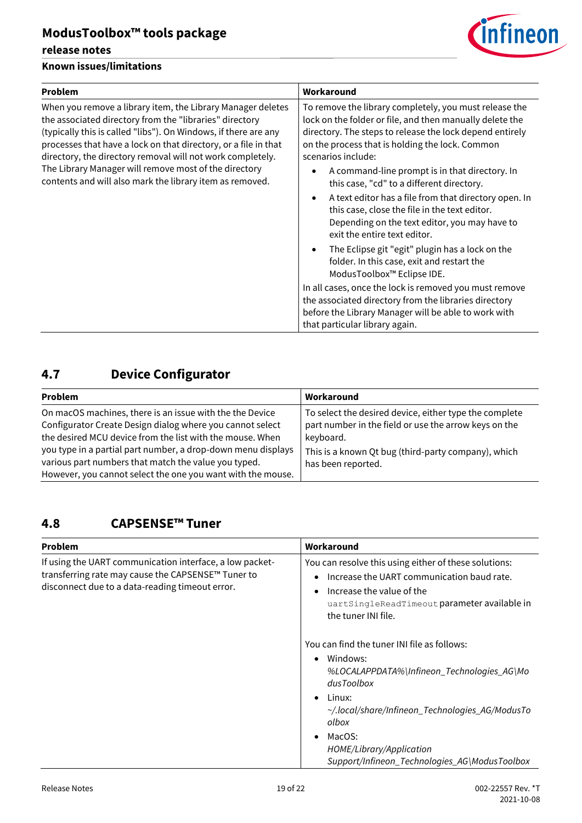#### **release notes**

#### **Known issues/limitations**



| Problem                                                                                                                                                                                                                                                                                                                                                                                                                                         | Workaround                                                                                                                                                                                                                                              |
|-------------------------------------------------------------------------------------------------------------------------------------------------------------------------------------------------------------------------------------------------------------------------------------------------------------------------------------------------------------------------------------------------------------------------------------------------|---------------------------------------------------------------------------------------------------------------------------------------------------------------------------------------------------------------------------------------------------------|
| When you remove a library item, the Library Manager deletes<br>the associated directory from the "libraries" directory<br>(typically this is called "libs"). On Windows, if there are any<br>processes that have a lock on that directory, or a file in that<br>directory, the directory removal will not work completely.<br>The Library Manager will remove most of the directory<br>contents and will also mark the library item as removed. | To remove the library completely, you must release the<br>lock on the folder or file, and then manually delete the<br>directory. The steps to release the lock depend entirely<br>on the process that is holding the lock. Common<br>scenarios include: |
|                                                                                                                                                                                                                                                                                                                                                                                                                                                 | A command-line prompt is in that directory. In<br>this case, "cd" to a different directory.                                                                                                                                                             |
|                                                                                                                                                                                                                                                                                                                                                                                                                                                 | A text editor has a file from that directory open. In<br>this case, close the file in the text editor.<br>Depending on the text editor, you may have to<br>exit the entire text editor.                                                                 |
|                                                                                                                                                                                                                                                                                                                                                                                                                                                 | The Eclipse git "egit" plugin has a lock on the<br>$\bullet$<br>folder. In this case, exit and restart the<br>ModusToolbox <sup>™</sup> Eclipse IDE.                                                                                                    |
|                                                                                                                                                                                                                                                                                                                                                                                                                                                 | In all cases, once the lock is removed you must remove                                                                                                                                                                                                  |
|                                                                                                                                                                                                                                                                                                                                                                                                                                                 | the associated directory from the libraries directory                                                                                                                                                                                                   |
|                                                                                                                                                                                                                                                                                                                                                                                                                                                 | before the Library Manager will be able to work with<br>that particular library again.                                                                                                                                                                  |
|                                                                                                                                                                                                                                                                                                                                                                                                                                                 |                                                                                                                                                                                                                                                         |

## <span id="page-18-0"></span>**4.7 Device Configurator**

| Problem                                                      | Workaround                                             |
|--------------------------------------------------------------|--------------------------------------------------------|
| On macOS machines, there is an issue with the the Device     | To select the desired device, either type the complete |
| Configurator Create Design dialog where you cannot select    | part number in the field or use the arrow keys on the  |
| the desired MCU device from the list with the mouse. When    | keyboard.                                              |
| you type in a partial part number, a drop-down menu displays | This is a known Qt bug (third-party company), which    |
| various part numbers that match the value you typed.         | has been reported.                                     |
| However, you cannot select the one you want with the mouse.  |                                                        |

#### <span id="page-18-1"></span>**4.8 CAPSENSE™ Tuner**

| <b>Problem</b>                                                                                                                                                    | Workaround                                                                                                                                                                                                                                                                                                 |
|-------------------------------------------------------------------------------------------------------------------------------------------------------------------|------------------------------------------------------------------------------------------------------------------------------------------------------------------------------------------------------------------------------------------------------------------------------------------------------------|
| If using the UART communication interface, a low packet-<br>transferring rate may cause the CAPSENSE™ Tuner to<br>disconnect due to a data-reading timeout error. | You can resolve this using either of these solutions:<br>Increase the UART communication baud rate.<br>$\bullet$<br>Increase the value of the<br>$\bullet$<br>uartSingleReadTimeout parameter available in<br>the tuner INI file.                                                                          |
|                                                                                                                                                                   | You can find the tuner INI file as follows:<br>Windows:<br>$\bullet$<br>%LOCALAPPDATA%\Infineon_Technologies_AG\Mo<br>dusToolbox<br>Linux:<br>$\bullet$<br>~/.local/share/Infineon_Technologies_AG/ModusTo<br>olbox<br>MacOS:<br>HOME/Library/Application<br>Support/Infineon_Technologies_AG\ModusToolbox |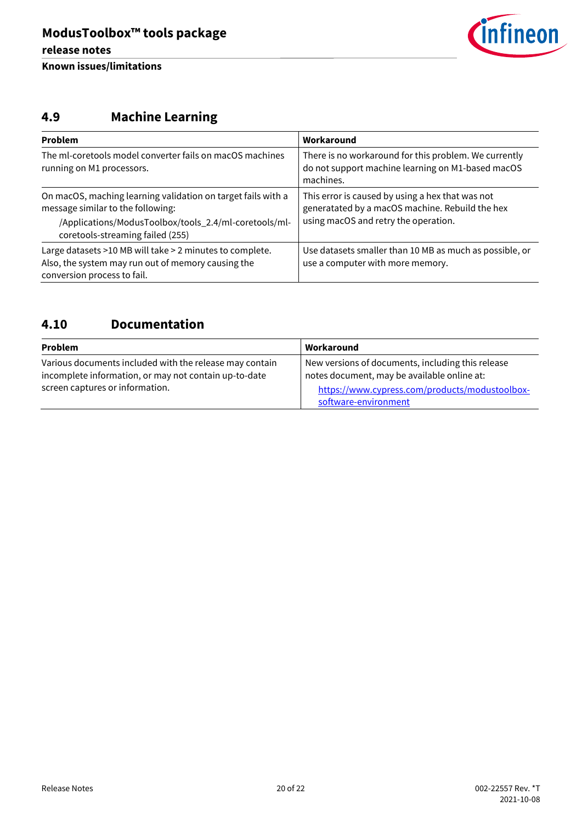

## <span id="page-19-0"></span>**4.9 Machine Learning**

| Problem                                                                                                                                                                                        | Workaround                                                                                                                                  |
|------------------------------------------------------------------------------------------------------------------------------------------------------------------------------------------------|---------------------------------------------------------------------------------------------------------------------------------------------|
| The ml-coretools model converter fails on macOS machines<br>running on M1 processors.                                                                                                          | There is no workaround for this problem. We currently<br>do not support machine learning on M1-based macOS<br>machines.                     |
| On macOS, maching learning validation on target fails with a<br>message similar to the following:<br>/Applications/ModusToolbox/tools_2.4/ml-coretools/ml-<br>coretools-streaming failed (255) | This error is caused by using a hex that was not<br>generatated by a macOS machine. Rebuild the hex<br>using macOS and retry the operation. |
| Large datasets >10 MB will take > 2 minutes to complete.<br>Also, the system may run out of memory causing the<br>conversion process to fail.                                                  | Use datasets smaller than 10 MB as much as possible, or<br>use a computer with more memory.                                                 |

### <span id="page-19-1"></span>**4.10 Documentation**

| <b>Problem</b>                                                                                                   | Workaround                                                                                       |
|------------------------------------------------------------------------------------------------------------------|--------------------------------------------------------------------------------------------------|
| Various documents included with the release may contain<br>incomplete information, or may not contain up-to-date | New versions of documents, including this release<br>notes document, may be available online at: |
| screen captures or information.                                                                                  | https://www.cypress.com/products/modustoolbox-<br>software-environment                           |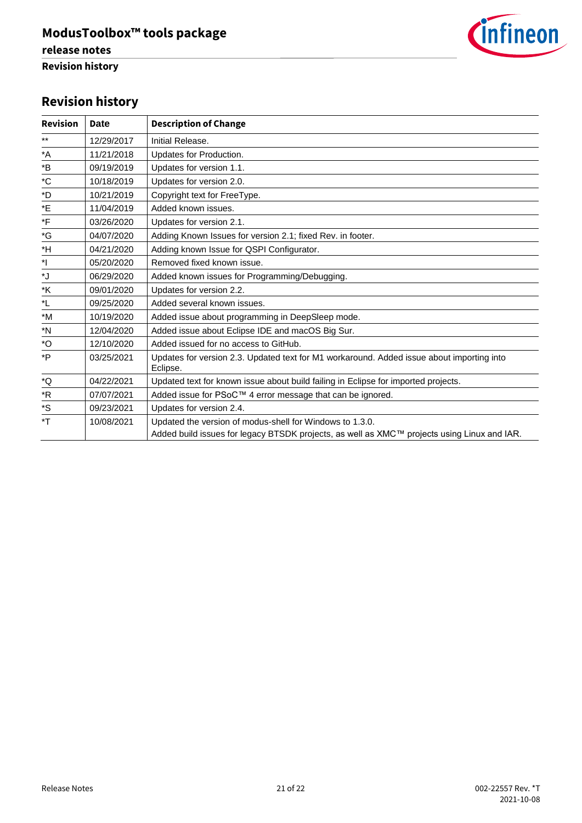

### **Revision history**

| <b>Revision</b>    | Date       | <b>Description of Change</b>                                                                                                                            |
|--------------------|------------|---------------------------------------------------------------------------------------------------------------------------------------------------------|
| $***$              | 12/29/2017 | Initial Release.                                                                                                                                        |
| *A                 | 11/21/2018 | Updates for Production.                                                                                                                                 |
| *B                 | 09/19/2019 | Updates for version 1.1.                                                                                                                                |
| $^{\ast}$ C        | 10/18/2019 | Updates for version 2.0.                                                                                                                                |
| *D                 | 10/21/2019 | Copyright text for FreeType.                                                                                                                            |
| *E                 | 11/04/2019 | Added known issues.                                                                                                                                     |
| *F                 | 03/26/2020 | Updates for version 2.1.                                                                                                                                |
| *G                 | 04/07/2020 | Adding Known Issues for version 2.1; fixed Rev. in footer.                                                                                              |
| *H                 | 04/21/2020 | Adding known Issue for QSPI Configurator.                                                                                                               |
| *                  | 05/20/2020 | Removed fixed known issue.                                                                                                                              |
| $\mathsf{L}^\star$ | 06/29/2020 | Added known issues for Programming/Debugging.                                                                                                           |
| *K                 | 09/01/2020 | Updates for version 2.2.                                                                                                                                |
| *L                 | 09/25/2020 | Added several known issues.                                                                                                                             |
| *M                 | 10/19/2020 | Added issue about programming in DeepSleep mode.                                                                                                        |
| *N                 | 12/04/2020 | Added issue about Eclipse IDE and macOS Big Sur.                                                                                                        |
| *O                 | 12/10/2020 | Added issued for no access to GitHub.                                                                                                                   |
| *P                 | 03/25/2021 | Updates for version 2.3. Updated text for M1 workaround. Added issue about importing into<br>Eclipse.                                                   |
| *Q                 | 04/22/2021 | Updated text for known issue about build failing in Eclipse for imported projects.                                                                      |
| $*$ R              | 07/07/2021 | Added issue for PSoC™ 4 error message that can be ignored.                                                                                              |
| *S                 | 09/23/2021 | Updates for version 2.4.                                                                                                                                |
| *T                 | 10/08/2021 | Updated the version of modus-shell for Windows to 1.3.0.<br>Added build issues for legacy BTSDK projects, as well as XMC™ projects using Linux and IAR. |